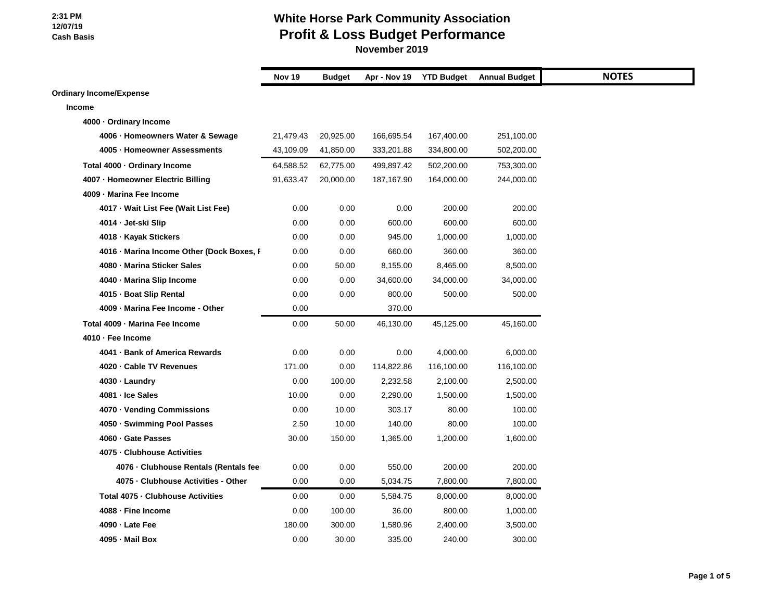### **White Horse Park Community Association Profit & Loss Budget Performance**

|                                           | <b>Nov 19</b> | <b>Budget</b> | Apr - Nov 19 | <b>YTD Budget</b> | <b>Annual Budget</b> |
|-------------------------------------------|---------------|---------------|--------------|-------------------|----------------------|
| <b>Ordinary Income/Expense</b>            |               |               |              |                   |                      |
| Income                                    |               |               |              |                   |                      |
| 4000 · Ordinary Income                    |               |               |              |                   |                      |
| 4006 · Homeowners Water & Sewage          | 21,479.43     | 20,925.00     | 166,695.54   | 167,400.00        | 251,100.00           |
| 4005 · Homeowner Assessments              | 43,109.09     | 41,850.00     | 333,201.88   | 334,800.00        | 502,200.00           |
| Total 4000 · Ordinary Income              | 64,588.52     | 62,775.00     | 499,897.42   | 502,200.00        | 753,300.00           |
| 4007 - Homeowner Electric Billing         | 91,633.47     | 20,000.00     | 187,167.90   | 164,000.00        | 244,000.00           |
| 4009 - Marina Fee Income                  |               |               |              |                   |                      |
| 4017 · Wait List Fee (Wait List Fee)      | 0.00          | 0.00          | 0.00         | 200.00            | 200.00               |
| 4014 - Jet-ski Slip                       | 0.00          | 0.00          | 600.00       | 600.00            | 600.00               |
| 4018 · Kayak Stickers                     | 0.00          | 0.00          | 945.00       | 1,000.00          | 1,000.00             |
| 4016 - Marina Income Other (Dock Boxes, F | 0.00          | 0.00          | 660.00       | 360.00            | 360.00               |
| 4080 - Marina Sticker Sales               | 0.00          | 50.00         | 8,155.00     | 8,465.00          | 8,500.00             |
| 4040 - Marina Slip Income                 | 0.00          | 0.00          | 34,600.00    | 34,000.00         | 34,000.00            |
| 4015 - Boat Slip Rental                   | 0.00          | 0.00          | 800.00       | 500.00            | 500.00               |
| 4009 - Marina Fee Income - Other          | 0.00          |               | 370.00       |                   |                      |
| Total 4009 - Marina Fee Income            | 0.00          | 50.00         | 46,130.00    | 45,125.00         | 45,160.00            |
| 4010 - Fee Income                         |               |               |              |                   |                      |
| 4041 - Bank of America Rewards            | 0.00          | 0.00          | 0.00         | 4,000.00          | 6,000.00             |
| 4020 · Cable TV Revenues                  | 171.00        | 0.00          | 114,822.86   | 116,100.00        | 116,100.00           |
| 4030 · Laundry                            | 0.00          | 100.00        | 2,232.58     | 2,100.00          | 2,500.00             |
| 4081 - Ice Sales                          | 10.00         | 0.00          | 2,290.00     | 1,500.00          | 1,500.00             |
| 4070 · Vending Commissions                | 0.00          | 10.00         | 303.17       | 80.00             | 100.00               |
| 4050 · Swimming Pool Passes               | 2.50          | 10.00         | 140.00       | 80.00             | 100.00               |
| 4060 · Gate Passes                        | 30.00         | 150.00        | 1,365.00     | 1,200.00          | 1,600.00             |
| 4075 - Clubhouse Activities               |               |               |              |                   |                      |
| 4076 · Clubhouse Rentals (Rentals fee:    | 0.00          | 0.00          | 550.00       | 200.00            | 200.00               |
| 4075 - Clubhouse Activities - Other       | 0.00          | 0.00          | 5,034.75     | 7,800.00          | 7,800.00             |
| Total 4075 - Clubhouse Activities         | 0.00          | 0.00          | 5,584.75     | 8,000.00          | 8,000.00             |
| 4088 - Fine Income                        | 0.00          | 100.00        | 36.00        | 800.00            | 1,000.00             |
| 4090 - Late Fee                           | 180.00        | 300.00        | 1,580.96     | 2,400.00          | 3,500.00             |
| 4095 - Mail Box                           | 0.00          | 30.00         | 335.00       | 240.00            | 300.00               |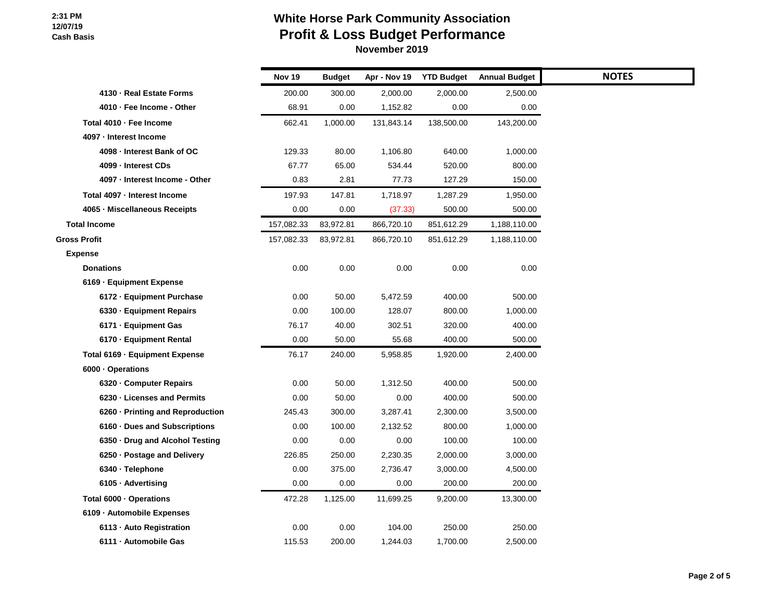# **White Horse Park Community Association Profit & Loss Budget Performance**

|                                  | <b>Nov 19</b> | <b>Budget</b> | Apr - Nov 19 | <b>YTD Budget</b> | <b>Annual Budget</b> | <b>NOTES</b> |
|----------------------------------|---------------|---------------|--------------|-------------------|----------------------|--------------|
| 4130 - Real Estate Forms         | 200.00        | 300.00        | 2,000.00     | 2,000.00          | 2,500.00             |              |
| 4010 - Fee Income - Other        | 68.91         | 0.00          | 1,152.82     | 0.00              | 0.00                 |              |
| Total 4010 - Fee Income          | 662.41        | 1,000.00      | 131,843.14   | 138,500.00        | 143,200.00           |              |
| 4097 - Interest Income           |               |               |              |                   |                      |              |
| 4098 - Interest Bank of OC       | 129.33        | 80.00         | 1,106.80     | 640.00            | 1,000.00             |              |
| 4099 - Interest CDs              | 67.77         | 65.00         | 534.44       | 520.00            | 800.00               |              |
| 4097 - Interest Income - Other   | 0.83          | 2.81          | 77.73        | 127.29            | 150.00               |              |
| Total 4097 - Interest Income     | 197.93        | 147.81        | 1,718.97     | 1,287.29          | 1,950.00             |              |
| 4065 · Miscellaneous Receipts    | 0.00          | 0.00          | (37.33)      | 500.00            | 500.00               |              |
| <b>Total Income</b>              | 157,082.33    | 83,972.81     | 866,720.10   | 851,612.29        | 1,188,110.00         |              |
| <b>Gross Profit</b>              | 157,082.33    | 83,972.81     | 866,720.10   | 851,612.29        | 1,188,110.00         |              |
| <b>Expense</b>                   |               |               |              |                   |                      |              |
| <b>Donations</b>                 | 0.00          | 0.00          | 0.00         | 0.00              | 0.00                 |              |
| 6169 - Equipment Expense         |               |               |              |                   |                      |              |
| 6172 - Equipment Purchase        | 0.00          | 50.00         | 5,472.59     | 400.00            | 500.00               |              |
| 6330 · Equipment Repairs         | 0.00          | 100.00        | 128.07       | 800.00            | 1,000.00             |              |
| 6171 - Equipment Gas             | 76.17         | 40.00         | 302.51       | 320.00            | 400.00               |              |
| 6170 · Equipment Rental          | 0.00          | 50.00         | 55.68        | 400.00            | 500.00               |              |
| Total 6169 - Equipment Expense   | 76.17         | 240.00        | 5,958.85     | 1,920.00          | 2,400.00             |              |
| 6000 · Operations                |               |               |              |                   |                      |              |
| 6320 - Computer Repairs          | 0.00          | 50.00         | 1,312.50     | 400.00            | 500.00               |              |
| 6230 · Licenses and Permits      | 0.00          | 50.00         | 0.00         | 400.00            | 500.00               |              |
| 6260 - Printing and Reproduction | 245.43        | 300.00        | 3,287.41     | 2,300.00          | 3,500.00             |              |
| 6160 Dues and Subscriptions      | 0.00          | 100.00        | 2,132.52     | 800.00            | 1,000.00             |              |
| 6350 · Drug and Alcohol Testing  | 0.00          | 0.00          | 0.00         | 100.00            | 100.00               |              |
| 6250 · Postage and Delivery      | 226.85        | 250.00        | 2,230.35     | 2,000.00          | 3,000.00             |              |
| 6340 · Telephone                 | 0.00          | 375.00        | 2,736.47     | 3,000.00          | 4,500.00             |              |
| 6105 · Advertising               | 0.00          | 0.00          | 0.00         | 200.00            | 200.00               |              |
| Total 6000 - Operations          | 472.28        | 1,125.00      | 11,699.25    | 9,200.00          | 13,300.00            |              |
| 6109 - Automobile Expenses       |               |               |              |                   |                      |              |
| 6113 - Auto Registration         | 0.00          | 0.00          | 104.00       | 250.00            | 250.00               |              |
| 6111 - Automobile Gas            | 115.53        | 200.00        | 1,244.03     | 1,700.00          | 2,500.00             |              |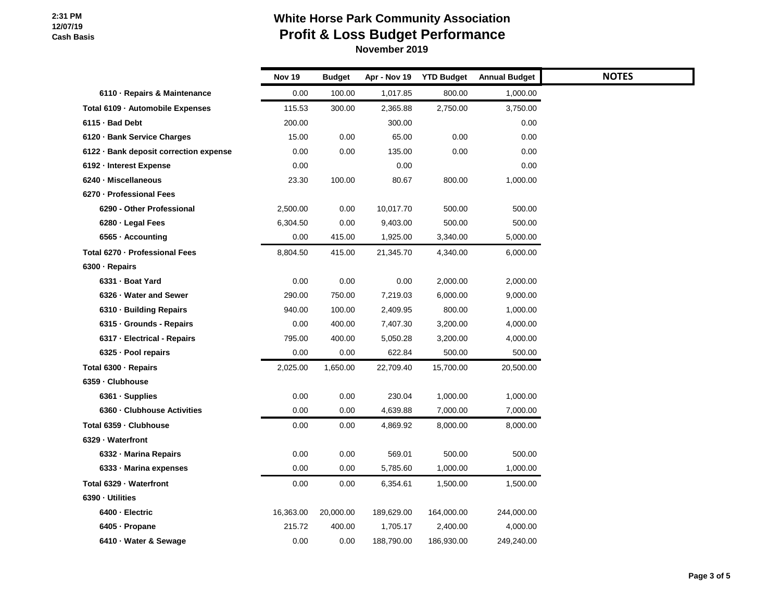### **White Horse Park Community Association Profit & Loss Budget Performance**

|                                        | <b>Nov 19</b> | <b>Budget</b> | Apr - Nov 19 | <b>YTD Budget</b> | <b>Annual Budget</b> |  |
|----------------------------------------|---------------|---------------|--------------|-------------------|----------------------|--|
| 6110 · Repairs & Maintenance           | 0.00          | 100.00        | 1,017.85     | 800.00            | 1,000.00             |  |
| Total 6109 - Automobile Expenses       | 115.53        | 300.00        | 2,365.88     | 2,750.00          | 3,750.00             |  |
| 6115 - Bad Debt                        | 200.00        |               | 300.00       |                   | 0.00                 |  |
| 6120 · Bank Service Charges            | 15.00         | 0.00          | 65.00        | 0.00              | 0.00                 |  |
| 6122 · Bank deposit correction expense | 0.00          | 0.00          | 135.00       | 0.00              | 0.00                 |  |
| 6192 - Interest Expense                | 0.00          |               | 0.00         |                   | 0.00                 |  |
| 6240 - Miscellaneous                   | 23.30         | 100.00        | 80.67        | 800.00            | 1,000.00             |  |
| 6270 - Professional Fees               |               |               |              |                   |                      |  |
| 6290 - Other Professional              | 2,500.00      | 0.00          | 10,017.70    | 500.00            | 500.00               |  |
| 6280 · Legal Fees                      | 6,304.50      | 0.00          | 9,403.00     | 500.00            | 500.00               |  |
| 6565 · Accounting                      | 0.00          | 415.00        | 1,925.00     | 3,340.00          | 5,000.00             |  |
| Total 6270 - Professional Fees         | 8,804.50      | 415.00        | 21,345.70    | 4,340.00          | 6,000.00             |  |
| 6300 - Repairs                         |               |               |              |                   |                      |  |
| 6331 - Boat Yard                       | 0.00          | 0.00          | 0.00         | 2,000.00          | 2,000.00             |  |
| 6326 - Water and Sewer                 | 290.00        | 750.00        | 7,219.03     | 6,000.00          | 9,000.00             |  |
| 6310 - Building Repairs                | 940.00        | 100.00        | 2,409.95     | 800.00            | 1,000.00             |  |
| 6315 - Grounds - Repairs               | 0.00          | 400.00        | 7,407.30     | 3,200.00          | 4,000.00             |  |
| 6317 - Electrical - Repairs            | 795.00        | 400.00        | 5,050.28     | 3,200.00          | 4,000.00             |  |
| 6325 · Pool repairs                    | 0.00          | 0.00          | 622.84       | 500.00            | 500.00               |  |
| Total 6300 · Repairs                   | 2,025.00      | 1,650.00      | 22,709.40    | 15,700.00         | 20,500.00            |  |
| 6359 - Clubhouse                       |               |               |              |                   |                      |  |
| 6361 · Supplies                        | 0.00          | 0.00          | 230.04       | 1,000.00          | 1,000.00             |  |
| 6360 - Clubhouse Activities            | 0.00          | 0.00          | 4,639.88     | 7,000.00          | 7,000.00             |  |
| Total 6359 - Clubhouse                 | 0.00          | 0.00          | 4,869.92     | 8,000.00          | 8,000.00             |  |
| 6329 - Waterfront                      |               |               |              |                   |                      |  |
| 6332 - Marina Repairs                  | 0.00          | 0.00          | 569.01       | 500.00            | 500.00               |  |
| 6333 - Marina expenses                 | 0.00          | 0.00          | 5,785.60     | 1,000.00          | 1,000.00             |  |
| Total 6329 - Waterfront                | 0.00          | 0.00          | 6,354.61     | 1,500.00          | 1,500.00             |  |
| 6390 · Utilities                       |               |               |              |                   |                      |  |
| 6400 - Electric                        | 16,363.00     | 20,000.00     | 189,629.00   | 164,000.00        | 244,000.00           |  |
| 6405 - Propane                         | 215.72        | 400.00        | 1,705.17     | 2,400.00          | 4,000.00             |  |
| 6410 · Water & Sewage                  | 0.00          | 0.00          | 188,790.00   | 186,930.00        | 249,240.00           |  |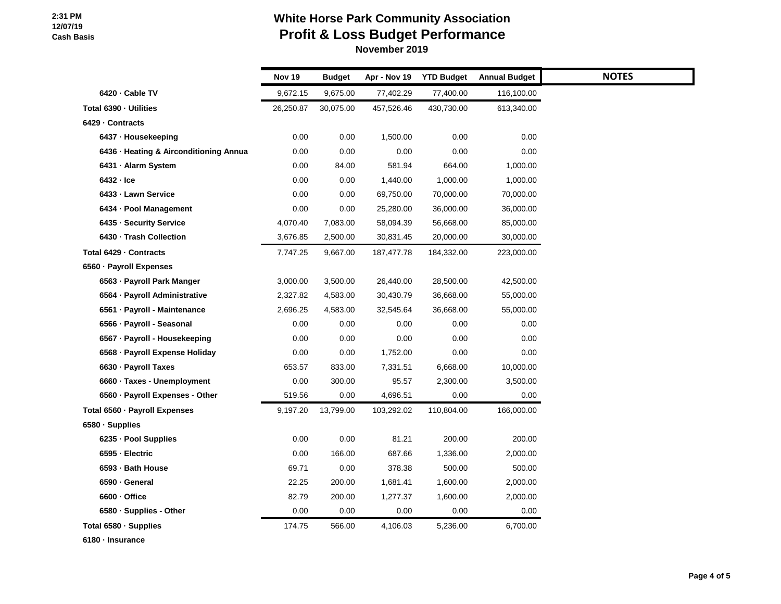## **White Horse Park Community Association Profit & Loss Budget Performance**

 **November 2019**

|                                        | <b>Nov 19</b> | <b>Budget</b> | Apr - Nov 19 | <b>YTD Budget</b> | <b>Annual Budget</b> |  |
|----------------------------------------|---------------|---------------|--------------|-------------------|----------------------|--|
| 6420 · Cable TV                        | 9,672.15      | 9,675.00      | 77,402.29    | 77,400.00         | 116,100.00           |  |
| Total 6390 - Utilities                 | 26,250.87     | 30,075.00     | 457,526.46   | 430,730.00        | 613,340.00           |  |
| 6429 - Contracts                       |               |               |              |                   |                      |  |
| 6437 - Housekeeping                    | 0.00          | 0.00          | 1,500.00     | 0.00              | 0.00                 |  |
| 6436 · Heating & Airconditioning Annua | 0.00          | 0.00          | 0.00         | 0.00              | 0.00                 |  |
| 6431 - Alarm System                    | 0.00          | 84.00         | 581.94       | 664.00            | 1,000.00             |  |
| 6432 - Ice                             | 0.00          | 0.00          | 1,440.00     | 1,000.00          | 1,000.00             |  |
| 6433 - Lawn Service                    | 0.00          | 0.00          | 69,750.00    | 70,000.00         | 70,000.00            |  |
| 6434 - Pool Management                 | 0.00          | 0.00          | 25,280.00    | 36,000.00         | 36,000.00            |  |
| 6435 - Security Service                | 4,070.40      | 7,083.00      | 58,094.39    | 56,668.00         | 85,000.00            |  |
| 6430 - Trash Collection                | 3,676.85      | 2,500.00      | 30,831.45    | 20,000.00         | 30,000.00            |  |
| Total 6429 - Contracts                 | 7,747.25      | 9,667.00      | 187,477.78   | 184,332.00        | 223,000.00           |  |
| 6560 - Payroll Expenses                |               |               |              |                   |                      |  |
| 6563 - Payroll Park Manger             | 3,000.00      | 3,500.00      | 26,440.00    | 28,500.00         | 42,500.00            |  |
| 6564 · Payroll Administrative          | 2,327.82      | 4,583.00      | 30,430.79    | 36,668.00         | 55,000.00            |  |
| 6561 · Payroll - Maintenance           | 2,696.25      | 4,583.00      | 32,545.64    | 36,668.00         | 55,000.00            |  |
| 6566 - Payroll - Seasonal              | 0.00          | 0.00          | 0.00         | 0.00              | 0.00                 |  |
| 6567 · Payroll - Housekeeping          | 0.00          | 0.00          | 0.00         | 0.00              | 0.00                 |  |
| 6568 - Payroll Expense Holiday         | 0.00          | 0.00          | 1,752.00     | 0.00              | 0.00                 |  |
| 6630 - Payroll Taxes                   | 653.57        | 833.00        | 7,331.51     | 6,668.00          | 10,000.00            |  |
| 6660 · Taxes - Unemployment            | 0.00          | 300.00        | 95.57        | 2,300.00          | 3,500.00             |  |
| 6560 · Payroll Expenses - Other        | 519.56        | 0.00          | 4,696.51     | 0.00              | 0.00                 |  |
| Total 6560 - Payroll Expenses          | 9,197.20      | 13,799.00     | 103,292.02   | 110,804.00        | 166,000.00           |  |
| 6580 · Supplies                        |               |               |              |                   |                      |  |
| 6235 - Pool Supplies                   | 0.00          | 0.00          | 81.21        | 200.00            | 200.00               |  |
| 6595 - Electric                        | 0.00          | 166.00        | 687.66       | 1,336.00          | 2,000.00             |  |
| 6593 - Bath House                      | 69.71         | 0.00          | 378.38       | 500.00            | 500.00               |  |
| 6590 · General                         | 22.25         | 200.00        | 1,681.41     | 1,600.00          | 2,000.00             |  |
| 6600 · Office                          | 82.79         | 200.00        | 1,277.37     | 1,600.00          | 2,000.00             |  |
| 6580 · Supplies - Other                | 0.00          | 0.00          | 0.00         | 0.00              | 0.00                 |  |
| Total 6580 · Supplies                  | 174.75        | 566.00        | 4,106.03     | 5,236.00          | 6,700.00             |  |

**6180 · Insurance**